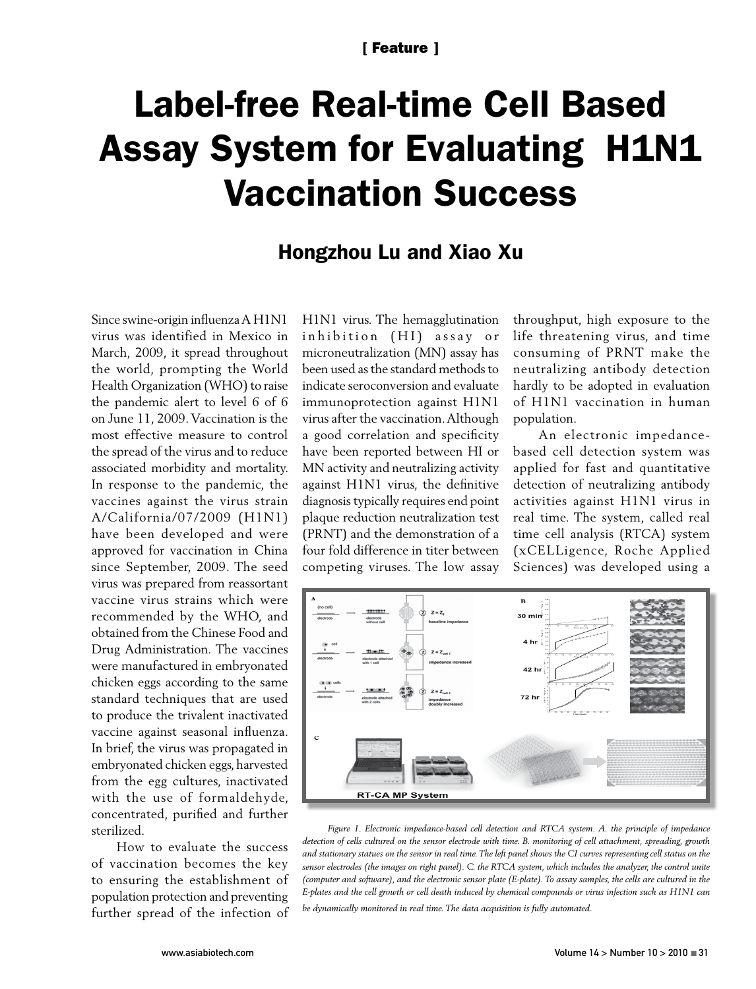## Label-free Real-time Cell Based Assay System for Evaluating H1N1 Vaccination Success

## Hongzhou Lu and Xiao Xu

Since swine-origin influenza A H1N1 virus was identified in Mexico in March, 2009, it spread throughout the world, prompting the World Health Organization (WHO) to raise the pandemic alert to level 6 of 6 on June 11, 2009. Vaccination is the most effective measure to control the spread of the virus and to reduce associated morbidity and mortality. In response to the pandemic, the vaccines against the virus strain A/California/07/2009 (H1N1) have been developed and were approved for vaccination in China since September, 2009. The seed virus was prepared from reassortant vaccine virus strains which were recommended by the WHO, and obtained from the Chinese Food and Drug Administration. The vaccines were manufactured in embryonated chicken eggs according to the same standard techniques that are used to produce the trivalent inactivated vaccine against seasonal influenza. In brief, the virus was propagated in embryonated chicken eggs, harvested from the egg cultures, inactivated with the use of formaldehyde, concentrated, purified and further sterilized.

How to evaluate the success of vaccination becomes the key to ensuring the establishment of population protection and preventing further spread of the infection of H1N1 virus. The hemagglutination inhibition (HI) assay or microneutralization (MN) assay has been used as the standard methods to indicate seroconversion and evaluate immunoprotection against H1N1 virus after the vaccination. Although a good correlation and specificity have been reported between HI or MN activity and neutralizing activity against H1N1 virus, the definitive diagnosis typically requires end point plaque reduction neutralization test (PRNT) and the demonstration of a four fold difference in titer between competing viruses. The low assay throughput, high exposure to the life threatening virus, and time consuming of PRNT make the neutralizing antibody detection hardly to be adopted in evaluation of H1N1 vaccination in human population.

An electronic impedancebased cell detection system was applied for fast and quantitative detection of neutralizing antibody activities against H1N1 virus in real time. The system, called real time cell analysis (RTCA) system (xCELLigence, Roche Applied Sciences) was developed using a



*Figure 1. Electronic impedance-based cell detection and RTCA system. A. the principle of impedance detection of cells cultured on the sensor electrode with time. B. monitoring of cell attachment, spreading, growth and stationary statues on the sensor in real time. The left panel shows the CI curves representing cell status on the sensor electrodes (the images on right panel). C. the RTCA system, which includes the analyzer, the control unite (computer and software), and the electronic sensor plate (E-plate). To assay samples, the cells are cultured in the E-plates and the cell growth or cell death induced by chemical compounds or virus infection such as H1N1 can* 

*be dynamically monitored in real time. The data acquisition is fully automated.*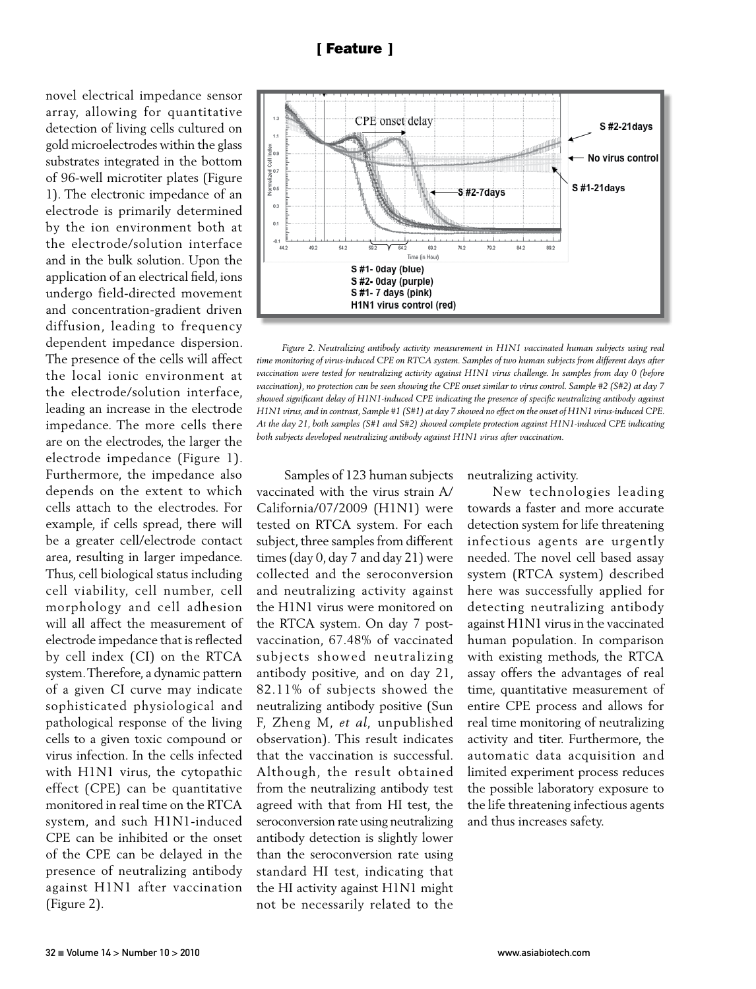novel electrical impedance sensor array, allowing for quantitative detection of living cells cultured on gold microelectrodes within the glass substrates integrated in the bottom of 96-well microtiter plates (Figure 1). The electronic impedance of an electrode is primarily determined by the ion environment both at the electrode/solution interface and in the bulk solution. Upon the application of an electrical field, ions undergo field-directed movement and concentration-gradient driven diffusion, leading to frequency dependent impedance dispersion. The presence of the cells will affect the local ionic environment at the electrode/solution interface, leading an increase in the electrode impedance. The more cells there are on the electrodes, the larger the electrode impedance (Figure 1). Furthermore, the impedance also depends on the extent to which cells attach to the electrodes. For example, if cells spread, there will be a greater cell/electrode contact area, resulting in larger impedance. Thus, cell biological status including cell viability, cell number, cell morphology and cell adhesion will all affect the measurement of electrode impedance that is reflected by cell index (CI) on the RTCA system. Therefore, a dynamic pattern of a given CI curve may indicate sophisticated physiological and pathological response of the living cells to a given toxic compound or virus infection. In the cells infected with H1N1 virus, the cytopathic effect (CPE) can be quantitative monitored in real time on the RTCA system, and such H1N1-induced CPE can be inhibited or the onset of the CPE can be delayed in the presence of neutralizing antibody against H1N1 after vaccination (Figure 2).



*Figure 2. Neutralizing antibody activity measurement in H1N1 vaccinated human subjects using real time monitoring of virus-induced CPE on RTCA system. Samples of two human subjects from different days after vaccination were tested for neutralizing activity against H1N1 virus challenge. In samples from day 0 (before vaccination), no protection can be seen showing the CPE onset similar to virus control. Sample #2 (S#2) at day 7 showed significant delay of H1N1-induced CPE indicating the presence of specific neutralizing antibody against H1N1 virus, and in contrast, Sample #1 (S#1) at day 7 showed no effect on the onset of H1N1 virus-induced CPE. At the day 21, both samples (S#1 and S#2) showed complete protection against H1N1-induced CPE indicating both subjects developed neutralizing antibody against H1N1 virus after vaccination.*

 Samples of 123 human subjects vaccinated with the virus strain A/ California/07/2009 (H1N1) were tested on RTCA system. For each subject, three samples from different times (day 0, day 7 and day 21) were collected and the seroconversion and neutralizing activity against the H1N1 virus were monitored on the RTCA system. On day 7 postvaccination, 67.48% of vaccinated subjects showed neutralizing antibody positive, and on day 21, 82.11% of subjects showed the neutralizing antibody positive (Sun F, Zheng M, *et al,* unpublished observation). This result indicates that the vaccination is successful. Although, the result obtained from the neutralizing antibody test agreed with that from HI test, the seroconversion rate using neutralizing antibody detection is slightly lower than the seroconversion rate using standard HI test, indicating that the HI activity against H1N1 might not be necessarily related to the neutralizing activity.

New technologies leading towards a faster and more accurate detection system for life threatening infectious agents are urgently needed. The novel cell based assay system (RTCA system) described here was successfully applied for detecting neutralizing antibody against H1N1 virus in the vaccinated human population. In comparison with existing methods, the RTCA assay offers the advantages of real time, quantitative measurement of entire CPE process and allows for real time monitoring of neutralizing activity and titer. Furthermore, the automatic data acquisition and limited experiment process reduces the possible laboratory exposure to the life threatening infectious agents and thus increases safety.